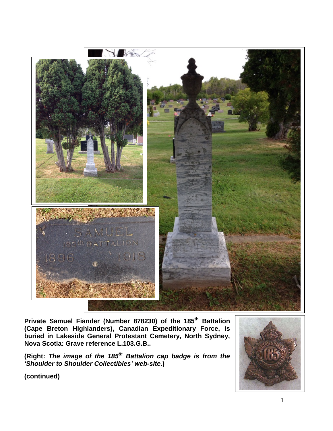

**Private Samuel Fiander (Number 878230) of the 185th Battalion (Cape Breton Highlanders), Canadian Expeditionary Force, is buried in Lakeside General Protestant Cemetery, North Sydney, Nova Scotia: Grave reference L.103.G.B..**

**(Right:** *The image of the 185th Battalion cap badge is from the 'Shoulder to Shoulder Collectibles' web-site***.)**

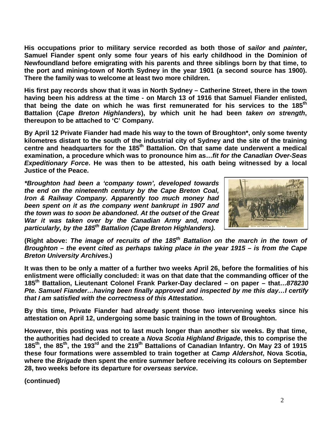**His occupations prior to military service recorded as both those of** *sailor* **and** *painter***, Samuel Fiander spent only some four years of his early childhood in the Dominion of Newfoundland before emigrating with his parents and three siblings born by that time, to the port and mining-town of North Sydney in the year 1901 (a second source has 1900). There the family was to welcome at least two more children.**

**His first pay records show that it was in North Sydney – Catherine Street, there in the town having been his address at the time - on March 13 of 1916 that Samuel Fiander enlisted, that being the date on which he was first remunerated for his services to the 185th Battalion (***Cape Breton Highlanders***), by which unit he had been** *taken on strength***, thereupon to be attached to 'C' Company.**

**By April 12 Private Fiander had made his way to the town of Broughton\*, only some twenty kilometres distant to the south of the industrial city of Sydney and the site of the training centre and headquarters for the 185th Battalion. On that same date underwent a medical examination, a procedure which was to pronounce him as…***fit for the Canadian Over-Seas Expeditionary Force***. He was then to be attested, his oath being witnessed by a local Justice of the Peace.**

*\*Broughton had been a 'company town', developed towards the end on the nineteenth century by the Cape Breton Coal, Iron & Railway Company. Apparently too much money had been spent on it as the company went bankrupt in 1907 and the town was to soon be abandoned. At the outset of the Great War it was taken over by the Canadian Army and, more particularly, by the 185th Battalion (Cape Breton Highlanders).*



**(Right above:** *The image of recruits of the 185th Battalion on the march in the town of Broughton – the event cited as perhaps taking place in the year 1915 – is from the Cape Breton University Archives***.)**

**It was then to be only a matter of a further two weeks April 26, before the formalities of his enlistment were officially concluded: it was on that date that the commanding officer of the 185th Battalion, Lieutenant Colonel Frank Parker-Day declared – on paper – that…***878230 Pte. Samuel Fiander…having been finally approved and inspected by me this day…I certify that I am satisfied with the correctness of this Attestation.*

**By this time, Private Fiander had already spent those two intervening weeks since his attestation on April 12, undergoing some basic training in the town of Broughton.** 

**However, this posting was not to last much longer than another six weeks. By that time, the authorities had decided to create a** *Nova Scotia Highland Brigade***, this to comprise the 185th, the 85th, the 193rd and the 219th Battalions of Canadian Infantry. On May 23 of 1915 these four formations were assembled to train together at** *Camp Aldershot***, Nova Scotia, where the** *Brigade* **then spent the entire summer before receiving its colours on September 28, two weeks before its departure for** *overseas service***.**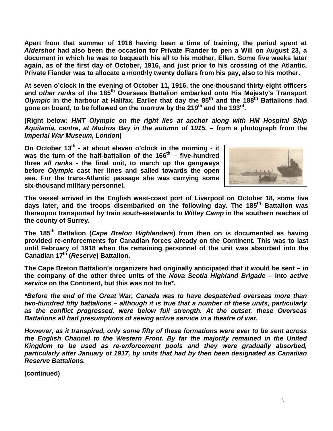**Apart from that summer of 1916 having been a time of training, the period spent at**  *Aldershot* **had also been the occasion for Private Fiander to pen a Will on August 23, a document in which he was to bequeath his all to his mother, Ellen. Some five weeks later again, as of the first day of October, 1916, and just prior to his crossing of the Atlantic, Private Fiander was to allocate a monthly twenty dollars from his pay, also to his mother.**

**At seven o'clock in the evening of October 11, 1916, the one-thousand thirty-eight officers and** *other ranks* **of the 185th Overseas Battalion embarked onto His Majesty's Transport**  *Olympic* **in the harbour at Halifax. Earlier that day the 85th and the 188th Battalions had**  gone on board, to be followed on the morrow by the 219<sup>th</sup> and the 193<sup>rd</sup>.

**(Right below:** *HMT Olympic on the right lies at anchor along with HM Hospital Ship Aquitania, centre, at Mudros Bay in the autumn of 1915.* **– from a photograph from the**  *Imperial War Museum, London***)**

**On October 13th - at about eleven o'clock in the morning - it**  was the turn of the half-battalion of the 166<sup>th</sup> – five-hundred **three** *all ranks* **- the final unit, to march up the gangways before** *Olympic* **cast her lines and sailed towards the open sea. For the trans-Atlantic passage she was carrying some six-thousand military personnel.**



**The vessel arrived in the English west-coast port of Liverpool on October 18, some five days later, and the troops disembarked on the following day. The 185th Battalion was thereupon transported by train south-eastwards to** *Witley Camp* **in the southern reaches of the county of Surrey.** 

**The 185th Battalion (***Cape Breton Highlanders***) from then on is documented as having provided re-enforcements for Canadian forces already on the Continent. This was to last until February of 1918 when the remaining personnel of the unit was absorbed into the Canadian 17th (***Reserve***) Battalion.** 

**The Cape Breton Battalion's organizers had originally anticipated that it would be sent – in the company of the other three units of the** *Nova Scotia Highland Brigade* **– into** *active service* **on the Continent, but this was not to be\*.**

*\*Before the end of the Great War, Canada was to have despatched overseas more than two-hundred fifty battalions – although it is true that a number of these units, particularly as the conflict progressed, were below full strength. At the outset, these Overseas Battalions all had presumptions of seeing active service in a theatre of war.*

*However, as it transpired, only some fifty of these formations were ever to be sent across the English Channel to the Western Front. By far the majority remained in the United Kingdom to be used as re-enforcement pools and they were gradually absorbed, particularly after January of 1917, by units that had by then been designated as Canadian Reserve Battalions.*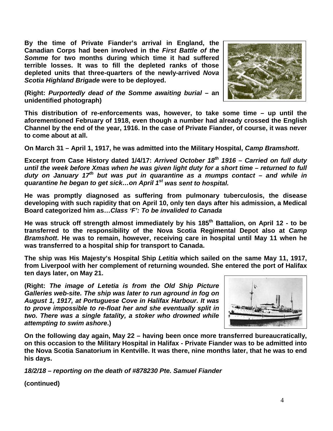**By the time of Private Fiander's arrival in England, the Canadian Corps had been involved in the** *First Battle of the Somme* **for two months during which time it had suffered terrible losses. It was to fill the depleted ranks of those depleted units that three-quarters of the newly-arrived** *Nova Scotia Highland Brigade* **were to be deployed.**



**(Right:** *Purportedly dead of the Somme awaiting burial* **– an unidentified photograph)**

**This distribution of re-enforcements was, however, to take some time – up until the aforementioned February of 1918, even though a number had already crossed the English Channel by the end of the year, 1916. In the case of Private Fiander, of course, it was never to come about at all.**

**On March 31 – April 1, 1917, he was admitted into the Military Hospital,** *Camp Bramshott***.**

**Excerpt from Case History dated 1/4/17:** *Arrived October 18th 1916 – Carried on full duty until the week before Xmas when he was given light duty for a short time – returned to full duty on January 17th but was put in quarantine as a mumps contact – and while in quarantine he began to get sick…on April 1st was sent to hospital.*

**He was promptly diagnosed as suffering from pulmonary tuberculosis, the disease developing with such rapidity that on April 10, only ten days after his admission, a Medical Board categorized him as…***Class 'F': To be invalided to Canada* 

**He was struck off strength almost immediately by his 185th Battalion, on April 12 - to be transferred to the responsibility of the Nova Scotia Regimental Depot also at** *Camp Bramshott***. He was to remain, however, receiving care in hospital until May 11 when he was transferred to a hospital ship for transport to Canada.**

**The ship was His Majesty's Hospital Ship** *Letitia* **which sailed on the same May 11, 1917, from Liverpool with her complement of returning wounded. She entered the port of Halifax ten days later, on May 21.**

**(Right:** *The image of Letetia is from the Old Ship Picture Galleries web-site. The ship was later to run aground in fog on August 1, 1917, at Portuguese Cove in Halifax Harbour. It was to prove impossible to re-float her and she eventually split in two. There was a single fatality, a stoker who drowned while attempting to swim ashore***.)**



**On the following day again, May 22 – having been once more transferred bureaucratically, on this occasion to the Military Hospital in Halifax - Private Fiander was to be admitted into the Nova Scotia Sanatorium in Kentville. It was there, nine months later, that he was to end his days.**

*18/2/18 – reporting on the death of #878230 Pte. Samuel Fiander*